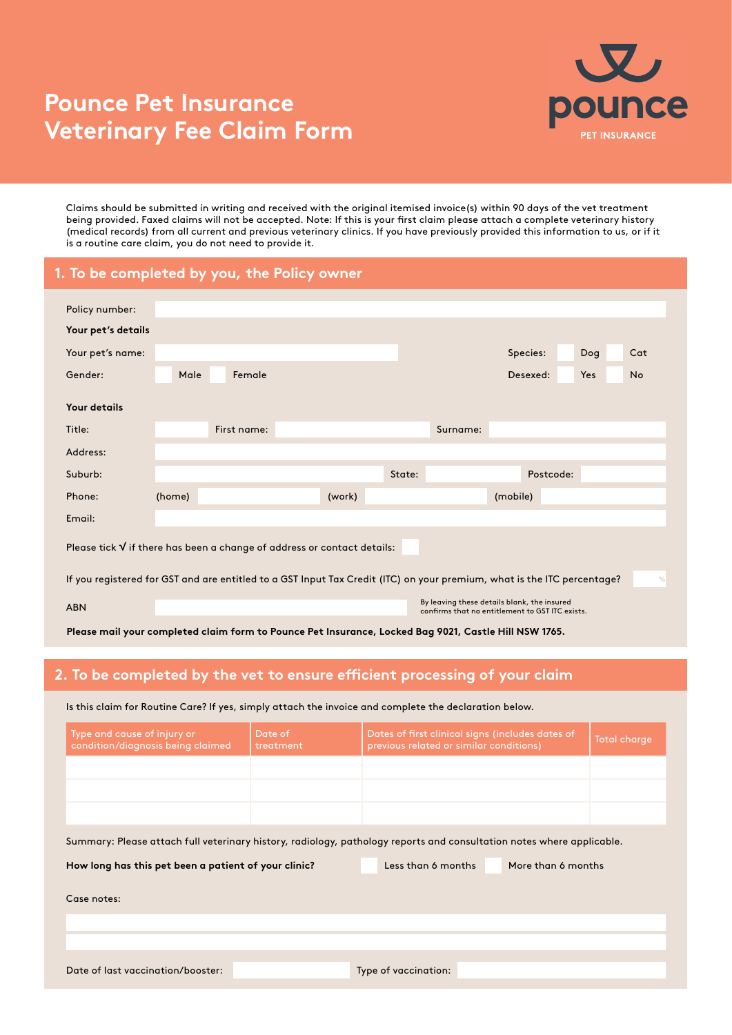## **Pounce Pet Insurance Veterinary Fee Claim Form**



Claims should be submitted in writing and received with the original itemised invoice(s) within 90 days of the vet treatment being provided. Faxed claims will not be accepted. Note: If this is your first claim please attach a complete veterinary history (medical records) from all current and previous veterinary clinics. If you have previously provided this information to us, or if it is a routine care claim, you do not need to provide it.

## **1. To be completed by you, the Policy owner**

| Policy number:                                                                                                                           |                                                                                                |             |        |        |          |           |            |           |
|------------------------------------------------------------------------------------------------------------------------------------------|------------------------------------------------------------------------------------------------|-------------|--------|--------|----------|-----------|------------|-----------|
| Your pet's details                                                                                                                       |                                                                                                |             |        |        |          |           |            |           |
| Your pet's name:                                                                                                                         |                                                                                                |             |        |        |          | Species:  | Dog        | Cat       |
| Gender:                                                                                                                                  | Male                                                                                           | Female      |        |        |          | Desexed:  | <b>Yes</b> | <b>No</b> |
| Your details                                                                                                                             |                                                                                                |             |        |        |          |           |            |           |
| Title:                                                                                                                                   |                                                                                                | First name: |        |        | Surname: |           |            |           |
| Address:                                                                                                                                 |                                                                                                |             |        |        |          |           |            |           |
| Suburb:                                                                                                                                  |                                                                                                |             |        | State: |          | Postcode: |            |           |
| Phone:                                                                                                                                   | (home)                                                                                         |             | (work) |        |          | (mobile)  |            |           |
| Email:                                                                                                                                   |                                                                                                |             |        |        |          |           |            |           |
| Please tick $\sqrt{}$ if there has been a change of address or contact details:                                                          |                                                                                                |             |        |        |          |           |            |           |
| If you registered for GST and are entitled to a GST Input Tax Credit (ITC) on your premium, what is the ITC percentage?<br>$\frac{1}{2}$ |                                                                                                |             |        |        |          |           |            |           |
| <b>ABN</b>                                                                                                                               | By leaving these details blank, the insured<br>confirms that no entitlement to GST ITC exists. |             |        |        |          |           |            |           |

**Please mail your completed claim form to Pounce Pet Insurance, Locked Bag 9021, Castle Hill NSW 1765.**

## **2. To be completed by the vet to ensure efficient processing of your claim**

Is this claim for Routine Care? If yes, simply attach the invoice and complete the declaration below.

Date of last vaccination/booster: Type of vaccination:

| Type and cause of injury or<br>condition/diagnosis being claimed                                                      | Date of<br>treatment | Dates of first clinical signs (includes dates of<br>previous related or similar conditions) | Total charge |  |  |  |  |  |  |
|-----------------------------------------------------------------------------------------------------------------------|----------------------|---------------------------------------------------------------------------------------------|--------------|--|--|--|--|--|--|
|                                                                                                                       |                      |                                                                                             |              |  |  |  |  |  |  |
|                                                                                                                       |                      |                                                                                             |              |  |  |  |  |  |  |
|                                                                                                                       |                      |                                                                                             |              |  |  |  |  |  |  |
| Summary: Please attach full veterinary history, radiology, pathology reports and consultation notes where applicable. |                      |                                                                                             |              |  |  |  |  |  |  |
| Less than 6 months<br>More than 6 months<br>How long has this pet been a patient of your clinic?                      |                      |                                                                                             |              |  |  |  |  |  |  |
| Case notes:                                                                                                           |                      |                                                                                             |              |  |  |  |  |  |  |
|                                                                                                                       |                      |                                                                                             |              |  |  |  |  |  |  |
|                                                                                                                       |                      |                                                                                             |              |  |  |  |  |  |  |